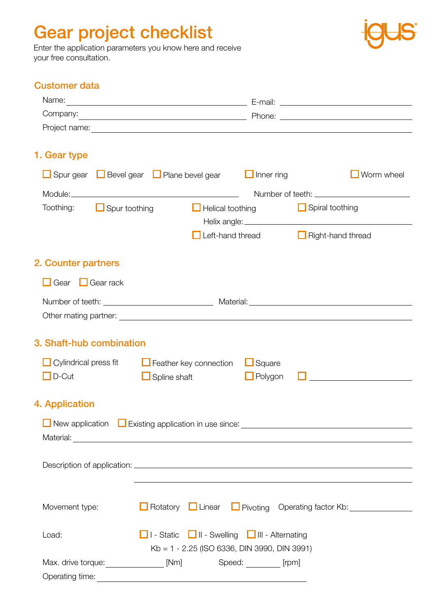## Gear project checklist

Enter the application parameters you know here and receive your free consultation.



## Customer data

| Name:                                                                                                                                                                                                                                                                                                                    |                                                                                                                         |                                 |                                                                                                                                                                                                                                                                                                                                                                                                                                     |
|--------------------------------------------------------------------------------------------------------------------------------------------------------------------------------------------------------------------------------------------------------------------------------------------------------------------------|-------------------------------------------------------------------------------------------------------------------------|---------------------------------|-------------------------------------------------------------------------------------------------------------------------------------------------------------------------------------------------------------------------------------------------------------------------------------------------------------------------------------------------------------------------------------------------------------------------------------|
|                                                                                                                                                                                                                                                                                                                          |                                                                                                                         |                                 | Company: Phone: Phone: Phone: Phone: Phone: Phone: Phone: Phone: Phone: Phone: Phone: Phone: Phone: Phone: Phone: Phone: Phone: Phone: Phone: Phone: Phone: Phone: Phone: Phone: Phone: Phone: Phone: Phone: Phone: Phone: Pho                                                                                                                                                                                                      |
|                                                                                                                                                                                                                                                                                                                          |                                                                                                                         |                                 |                                                                                                                                                                                                                                                                                                                                                                                                                                     |
| 1. Gear type                                                                                                                                                                                                                                                                                                             |                                                                                                                         |                                 |                                                                                                                                                                                                                                                                                                                                                                                                                                     |
| Spur gear Bevel gear D Plane bevel gear                                                                                                                                                                                                                                                                                  |                                                                                                                         | $\Box$ Inner ring               | $\blacksquare$ Worm wheel                                                                                                                                                                                                                                                                                                                                                                                                           |
|                                                                                                                                                                                                                                                                                                                          |                                                                                                                         |                                 |                                                                                                                                                                                                                                                                                                                                                                                                                                     |
| $\Box$ Spur toothing<br>Toothing:                                                                                                                                                                                                                                                                                        | $\Box$ Helical toothing                                                                                                 |                                 | $\Box$ Spiral toothing                                                                                                                                                                                                                                                                                                                                                                                                              |
|                                                                                                                                                                                                                                                                                                                          | Left-hand thread                                                                                                        |                                 | $\Box$ Right-hand thread                                                                                                                                                                                                                                                                                                                                                                                                            |
| 2. Counter partners                                                                                                                                                                                                                                                                                                      |                                                                                                                         |                                 |                                                                                                                                                                                                                                                                                                                                                                                                                                     |
| $\Box$ Gear $\Box$ Gear rack                                                                                                                                                                                                                                                                                             |                                                                                                                         |                                 |                                                                                                                                                                                                                                                                                                                                                                                                                                     |
|                                                                                                                                                                                                                                                                                                                          |                                                                                                                         |                                 | Number of teeth: <u>Number of teeth:</u> Number of teeth:                                                                                                                                                                                                                                                                                                                                                                           |
| 3. Shaft-hub combination                                                                                                                                                                                                                                                                                                 |                                                                                                                         |                                 |                                                                                                                                                                                                                                                                                                                                                                                                                                     |
| $\Box$ Cylindrical press fit $\Box$ Feather key connection<br>$\Box$ D-Cut                                                                                                                                                                                                                                               | $\Box$ Spline shaft                                                                                                     | $\Box$ Square<br>$\Box$ Polygon | $\label{eq:2.1} \frac{1}{\sqrt{2\pi}}\left(\frac{1}{\sqrt{2\pi}}\right)^{1/2}\left(\frac{1}{\sqrt{2\pi}}\right)^{1/2}\left(\frac{1}{\sqrt{2\pi}}\right)^{1/2}\left(\frac{1}{\sqrt{2\pi}}\right)^{1/2}\left(\frac{1}{\sqrt{2\pi}}\right)^{1/2}\left(\frac{1}{\sqrt{2\pi}}\right)^{1/2}\left(\frac{1}{\sqrt{2\pi}}\right)^{1/2}\left(\frac{1}{\sqrt{2\pi}}\right)^{1/2}\left(\frac{1}{\sqrt{2\pi}}\right)^{1/2}\left(\frac{1}{\sqrt{$ |
| 4. Application                                                                                                                                                                                                                                                                                                           |                                                                                                                         |                                 |                                                                                                                                                                                                                                                                                                                                                                                                                                     |
| New application Existing application in use since: _____________________________<br>Material: <u>Contract of the Community of the Community of the Community of the Community of the Community of the Community of the Community of the Community of the Community of the Community of the Community of the Communit</u> |                                                                                                                         |                                 |                                                                                                                                                                                                                                                                                                                                                                                                                                     |
|                                                                                                                                                                                                                                                                                                                          |                                                                                                                         |                                 |                                                                                                                                                                                                                                                                                                                                                                                                                                     |
|                                                                                                                                                                                                                                                                                                                          |                                                                                                                         |                                 |                                                                                                                                                                                                                                                                                                                                                                                                                                     |
| Movement type:                                                                                                                                                                                                                                                                                                           |                                                                                                                         |                                 | Rotatory Linear Pivoting Operating factor Kb:                                                                                                                                                                                                                                                                                                                                                                                       |
| Load:                                                                                                                                                                                                                                                                                                                    | <b>T</b> I - Static <b>T</b> II - Swelling <b>T</b> III - Alternating<br>$Kb = 1 - 2.25$ (ISO 6336, DIN 3990, DIN 3991) |                                 |                                                                                                                                                                                                                                                                                                                                                                                                                                     |
| Max. drive torque: [Nm] Speed: [pm] [rpm]                                                                                                                                                                                                                                                                                |                                                                                                                         |                                 |                                                                                                                                                                                                                                                                                                                                                                                                                                     |
| Operating time:                                                                                                                                                                                                                                                                                                          |                                                                                                                         |                                 |                                                                                                                                                                                                                                                                                                                                                                                                                                     |